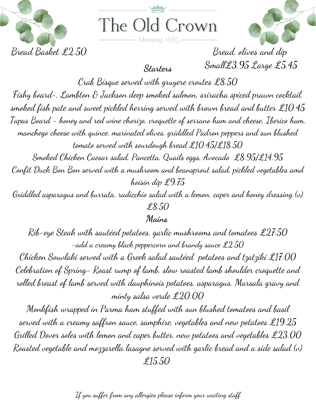





Bread Basket £2.50 Bread, olives and dip Small£3.95 Large £5.45 **Starters**

Crab Bisque served with gruyere croutes  $\pounds 8.50$ Fishy board~, Lambton & Jackson deep smoked salmon, sriracha spiced prawn cocktail, smoked fish pate and sweet pickled herring served with brown bread and butter  $\pounds 10.45$ Tapas Board - honey and red wine chorizo, croquette of serrano ham and cheese, Iberico ham, manchego cheese with quince, marinated olives, griddled Padron peppers and sun blushed tomato served with sourdough bread £10.45/£18.50 Smoked Chicken Caesar salad, Pancetta, Quails eggs, Avocado £8.95/£14.95 Confit Duck Bon Bon served with a mushroom and beansprout salad, pickled vegetables amd hoisin dip £9.75

Griddled asparagus and burrata, radicchio salad with a lemon, caper and honey dressing (v) £8.50

## **Mains**

Rib-eye Steak with sautéed potatoes, garlic mushrooms and tomatoes £27.50 -add a creamy black peppercorn and brandy sauce £2.50  $\,$ 

Chicken Souvlaki served with a Greek salad sautéed potatoes and tzatziki £17.00 Celebration of Spring- Roast rump of lamb, slow roasted lamb shoulder croquette and rolled breast of lamb served with dauphinois potatoes, asparagus, Marsala gravy and minty salsa verde £20.00

Monkfish wrapped in Parma ham stuffed with sun blushed tomatoes and basil served with a creamy saffron sauce, samphire, vegetables and new potatoes  $\pounds 19.25$ Grilled Dover soles with lemon and caper butter, new potatoes and vegetables  $\pounds 23.00$ Roasted vegetable and mozzarella lasagne served with garlic bread and a side salad  $(\omega)$ £15.50

If you suffer from any allergies please inform your waiting staff